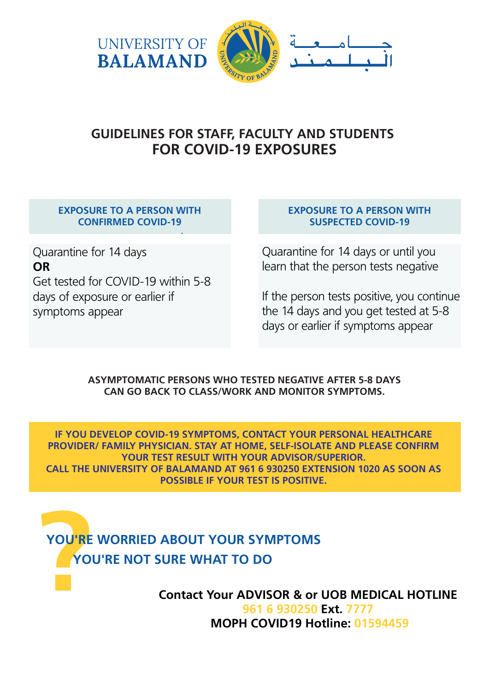

# **GUIDELINES FOR STAFF, FACULTY AND STUDENTS FOR COVID-19 EXPOSURES**

#### **EXPOSURE TO A PERSON WITH CONFIRMED COVID-19**

Quarantine for 14 days **OR** Get tested for COVID-19 within 5-8 days of exposure or earlier if symptoms appear

#### **EXPOSURE TO A PERSON WITH SUSPECTED COVID-19**

Quarantine for 14 days or until you learn that the person tests negative

If the person tests positive, you continue the 14 days and you get tested at 5-8 days or earlier if symptoms appear

#### **ASYMPTOMATIC PERSONS WHO TESTED NEGATIVE AFTER 5-8 DAYS CAN GO BACK TO CLASS/WORK AND MONITOR SYMPTOMS.**

**IF YOU DEVELOP COVID-19 SYMPTOMS, CONTACT YOUR PERSONAL HEALTHCARE PROVIDER/ FAMILY PHYSICIAN. STAY AT HOME, SELF-ISOLATE AND PLEASE CONFIRM YOUR TEST RESULT WITH YOUR ADVISOR/SUPERIOR. CALL THE UNIVERSITY OF BALAMAND AT 961 6 930250 EXTENSION 1020 AS SOON AS POSSIBLE IF YOUR TEST IS POSITIVE.**

# **POU'RE YOU'RE WORRIED ABOUT YOUR SYMPTOMS YOU'RE NOT SURE WHAT TO DO**

**Contact Your ADVISOR & or UOB MEDICAL HOTLINE 961 6 930250 Ext. 7777 MOPH COVID19 Hotline: 01594459**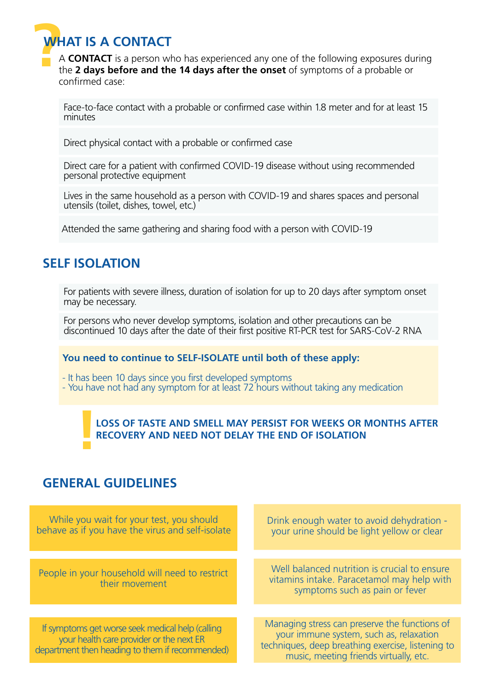

**?**<sup>A</sup> **CONTACT** is a person who has experienced any one of the following exposures during the **2 days before and the 14 days after the onset** of symptoms of a probable or confirmed case:

Face-to-face contact with a probable or confirmed case within 1.8 meter and for at least 15 minutes

Direct physical contact with a probable or confirmed case

Direct care for a patient with confirmed COVID-19 disease without using recommended personal protective equipment

Lives in the same household as a person with COVID-19 and shares spaces and personal utensils (toilet, dishes, towel, etc.)

Attended the same gathering and sharing food with a person with COVID-19

# **SELF ISOLATION**

For patients with severe illness, duration of isolation for up to 20 days after symptom onset may be necessary.

For persons who never develop symptoms, isolation and other precautions can be discontinued 10 days after the date of their first positive RT-PCR test for SARS-CoV-2 RNA

#### **You need to continue to SELF-ISOLATE until both of these apply:**

- It has been 10 days since you first developed symptoms
- You have not had any symptom for at least 72 hours without taking any medication

# **! LOSS OF TASTE AND SMELL MAY PERSIST FOR WEEKS OR MONTHS AFTER RECOVERY AND NEED NOT DELAY THE END OF ISOLATION**

### **GENERAL GUIDELINES**

While you wait for your test, you should behave as if you have the virus and self-isolate

People in your household will need to restrict their movement

If symptoms get worse seek medical help (calling your health care provider or the next ER department then heading to them if recommended) Drink enough water to avoid dehydration your urine should be light yellow or clear

Well balanced nutrition is crucial to ensure vitamins intake. Paracetamol may help with symptoms such as pain or fever

Managing stress can preserve the functions of your immune system, such as, relaxation techniques, deep breathing exercise, listening to music, meeting friends virtually, etc.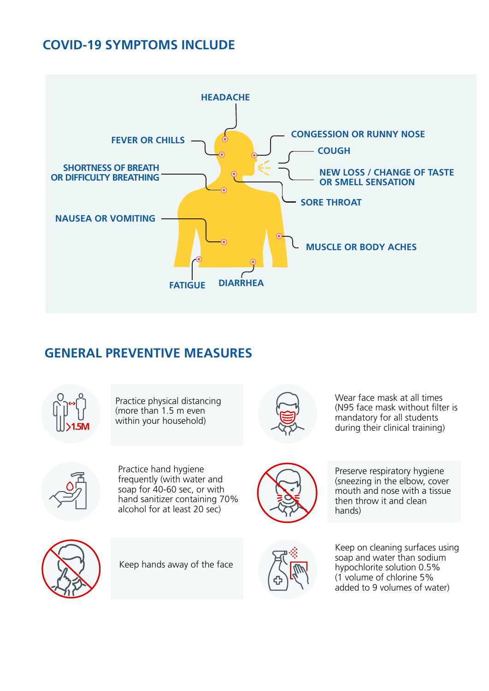## **COVID-19 SYMPTOMS INCLUDE**



# **GENERAL PREVENTIVE MEASURES**



Practice physical distancing (more than 1.5 m even within your household) **1.5M**



Wear face mask at all times (N95 face mask without filter is mandatory for all students during their clinical training)



Practice hand hygiene frequently (with water and soap for 40-60 sec, or with hand sanitizer containing 70% alcohol for at least 20 sec)



Preserve respiratory hygiene (sneezing in the elbow, cover mouth and nose with a tissue then throw it and clean hands)



Keep hands away of the face



Keep on cleaning surfaces using soap and water than sodium hypochlorite solution 0.5% (1 volume of chlorine 5% added to 9 volumes of water)